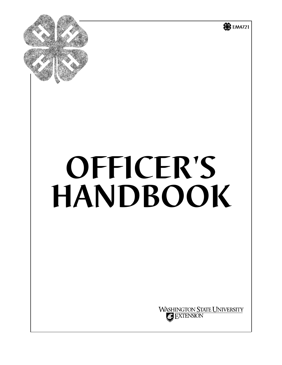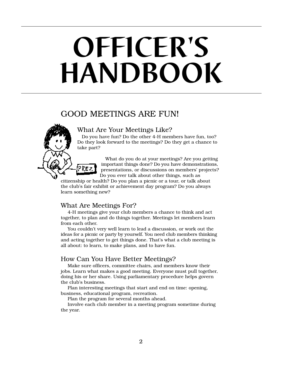# **OFFICER'S HANDBOOK**

## GOOD MEETINGS ARE FUN!

## What Are Your Meetings Like?

 Do you have fun? Do the other 4-H members have fun, too? Do they look forward to the meetings? Do they get a chance to take part?

 What do you do at your meetings? Are you getting important things done? Do you have demonstrations,  $PREZ$  presentations, or discussions on members' projects? Do you ever talk about other things, such as

citizenship or health? Do you plan a picnic or a tour, or talk about the club's fair exhibit or achievement day program? Do you always learn something new?

## What Are Meetings For?

4-H meetings give your club members a chance to think and act together, to plan and do things together. Meetings let members learn from each other.

You couldn't very well learn to lead a discussion, or work out the ideas for a picnic or party by yourself. You need club members thinking and acting together to get things done. That's what a club meeting is all about: to learn, to make plans, and to have fun.

## How Can You Have Better Meetings?

Make sure officers, committee chairs, and members know their jobs. Learn what makes a good meeting. Everyone must pull together, doing his or her share. Using parliamentary procedure helps govern the club's business.

Plan interesting meetings that start and end on time: opening, business, educational program, recreation.

Plan the program for several months ahead.

Involve each club member in a meeting program sometime during the year.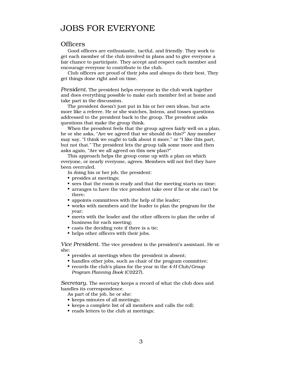## JOBS FOR EVERYONE

## **Officers**

Good officers are enthusiastic, tactful, and friendly. They work to get each member of the club involved in plans and to give everyone a fair chance to participate. They accept and respect each member and encourage everyone to contribute to the club.

Club officers are proud of their jobs and always do their best. They get things done right and on time.

*President.* The president helps everyone in the club work together and does everything possible to make each member feel at home and take part in the discussion.

The president doesn't just put in his or her own ideas, but acts more like a referee. He or she watches, listens, and tosses questions addressed to the president back to the group. The president asks questions that make the group think.

When the president feels that the group agrees fairly well on a plan, he or she asks, "Are we agreed that we should do this?" Any member may say, "I think we ought to talk about it more," or "I like this part, but not that." The president lets the group talk some more and then asks again, "Are we all agreed on this new plan?"

This approach helps the group come up with a plan on which everyone, or nearly everyone, agrees. Members will not feel they have been overruled.

In doing his or her job, the president:

- presides at meetings;
- sees that the room is ready and that the meeting starts on time;
- arranges to have the vice president take over if he or she can't be there;
- appoints committees with the help of the leader; •
- works with members and the leader to plan the program for the year;
- meets with the leader and the other officers to plan the order of business for each meeting;
- casts the deciding vote if there is a tie;
- helps other officers with their jobs.

*Vice President.* The vice president is the president's assistant. He or she:

- presides at meetings when the president is absent; •
- handles other jobs, such as chair of the program committee;
- records the club's plans for the year in the 4*-H Club/Group Program Planning Book* (C0227).

*Secretary.* The secretary keeps a record of what the club does and handles its correspondence.

- As part of the job, he or she:
- keeps minutes of all meetings;
- keeps a complete list of all members and calls the roll;
- reads letters to the club at meetings;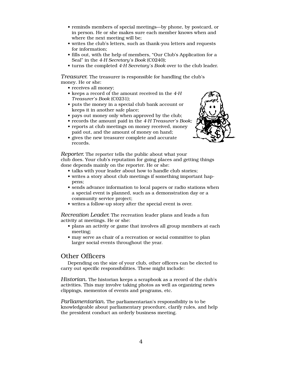- reminds members of special meetings—by phone, by postcard, or in person. He or she makes sure each member knows when and where the next meeting will be;
- writes the club's letters, such as thank-you letters and requests for information;
- fills out, with the help of members, "Our Club's Application for a Seal" in the *4-H Secretary's Book* (C0240);
- turns the completed *4-H Secretary's Book* over to the club leader. •

*Treasurer.* The treasurer is responsible for handling the club's money. He or she:

- receives all money;
- keeps a record of the amount received in the 4-H *Treasurer's Book* (C0231);
- puts the money in a special club bank account or keeps it in another safe place;
- pays out money only when approved by the club;
- records the amount paid in the *4-H Treasurer's Book;* •
- reports at club meetings on money received, money paid out, and the amount of money on hand;
- gives the new treasurer complete and accurate records.



*Reporter.* The reporter tells the public about what your club does. Your club's reputation for going places and getting things done depends mainly on the reporter. He or she:

- talks with your leader about how to handle club stories;
- writes a story about club meetings if something important happens;
- sends advance information to local papers or radio stations when a special event is planned, such as a demonstration day or a community service project;
- writes a follow-up story after the special event is over.

*Recreation Leader.* The recreation leader plans and leads a fun activity at meetings. He or she:

- plans an activity or game that involves all group members at each meeting;
- may serve as chair of a recreation or social committee to plan larger social events throughout the year.

## Other Officers

Depending on the size of your club, other officers can be elected to carry out specific responsibilities. These might include:

*Historian.* The historian keeps a scrapbook as a record of the club's activities. This may involve taking photos as well as organizing news clippings, mementos of events and programs, etc.

*Parliamentarian.* The parliamentarian's responsibility is to be knowledgeable about parliamentary procedure, clarify rules, and help the president conduct an orderly business meeting.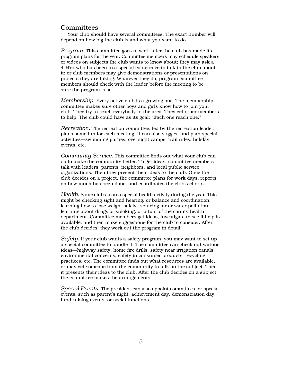## **Committees**

Your club should have several committees. The exact number will depend on how big the club is and what you want to do.

*Program.* This committee goes to work after the club has made its program plans for the year. Committee members may schedule speakers or videos on subjects the club wants to know about; they may ask a 4-H'er who has been to a special conference to talk to the club about it; or club members may give demonstrations or presentations on projects they are taking. Whatever they do, program committee members should check with the leader before the meeting to be sure the program is set.

*Membership.* Every active club is a growing one. The membership committee makes sure other boys and girls know how to join your club. They try to reach everybody in the area. They get other members to help. The club could have as its goal: "Each one reach one."

*Recreation.* The recreation committee, led by the recreation leader, plans some fun for each meeting. It can also suggest and plan special activities—swimming parties, overnight camps, trail rides, holiday events, etc.

*Community Service.* This committee finds out what your club can do to make the community better. To get ideas, committee members talk with leaders, parents, neighbors, and local public service organizations. Then they present their ideas to the club. Once the club decides on a project, the committee plans for work days, reports on how much has been done, and coordinates the club's efforts.

*Health.* Some clubs plan a special health activity during the year. This might be checking sight and hearing, or balance and coordination, learning how to lose weight safely, reducing air or water pollution, learning about drugs or smoking, or a tour of the county health department. Committee members get ideas, investigate to see if help is available, and then make suggestions for the club to consider. After the club decides, they work out the program in detail.

*Safety.* If your club wants a safety program, you may want to set up a special committee to handle it. The committee can check out various ideas—highway safety, home fire drills, safety near irrigation canals, environmental concerns, safety in consumer products, recycling practices, etc. The committee finds out what resources are available, or may get someone from the community to talk on the subject. Then it presents their ideas to the club. After the club decides on a subject, the committee makes the arrangements.

*Special Events.* The president can also appoint committees for special events, such as parent's night, achievement day, demonstration day, fund-raising events, or social functions.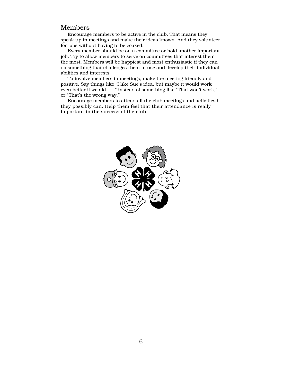### Members

Encourage members to be active in the club. That means they speak up in meetings and make their ideas known. And they volunteer for jobs without having to be coaxed.

Every member should be on a committee or hold another important job. Try to allow members to serve on committees that interest them the most. Members will be happiest and most enthusiastic if they can do something that challenges them to use and develop their individual abilities and interests.

To involve members in meetings, make the meeting friendly and positive. Say things like "I like Sue's idea, but maybe it would work even better if we did . . ." instead of something like "That won't work," or "That's the wrong way."

Encourage members to attend all the club meetings and activities if they possibly can. Help them feel that their attendance is really important to the success of the club.

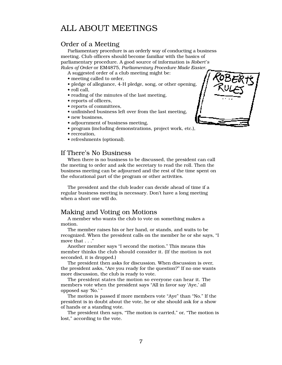## ALL ABOUT MEETINGS

## Order of a Meeting

Parliamentary procedure is an orderly way of conducting a business meeting. Club officers should become familiar with the basics of parliamentary procedure. A good source of information is *Robert's Rules of Order* or EM4875, *Parliamentary Procedure Made Easier*.

A suggested order of a club meeting might be:

- meeting called to order,
- pledge of allegiance, 4-H pledge, song, or other opening,
- roll call,
- reading of the minutes of the last meeting,
- reports of officers,
- reports of committees,
- unfinished business left over from the last meeting,
- new business.
- adjournment of business meeting.
- program (including demonstrations, project work, etc.),
- recreation,
- refreshments (optional).

### If There's No Business

When there is no business to be discussed, the president can call the meeting to order and ask the secretary to read the roll. Then the business meeting can be adjourned and the rest of the time spent on the educational part of the program or other activities.

The president and the club leader can decide ahead of time if a regular business meeting is necessary. Don't have a long meeting when a short one will do.

## Making and Voting on Motions

A member who wants the club to vote on something makes a motion.

The member raises his or her hand, or stands, and waits to be recognized. When the president calls on the member he or she says, "I move that . . ."

Another member says "I second the motion." This means this member thinks the club should consider it. (If the motion is not seconded, it is dropped.)

The president then asks for discussion. When discussion is over, the president asks, "Are you ready for the question?" If no one wants more discussion, the club is ready to vote.

The president states the motion so everyone can hear it. The members vote when the president says "All in favor say 'Aye,' all opposed say 'No.' "

The motion is passed if more members vote "Aye" than "No." If the president is in doubt about the vote, he or she should ask for a show of hands or a standing vote.

The president then says, "The motion is carried," or, "The motion is lost," according to the vote.

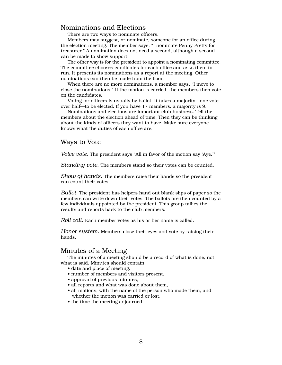## Nominations and Elections

There are two ways to nominate officers.

Members may suggest, or nominate, someone for an office during the election meeting. The member says, "I nominate Penny Pretty for treasurer." A nomination does not need a second, although a second can be made to show support.

The other way is for the president to appoint a nominating committee. The committee chooses candidates for each office and asks them to run. It presents its nominations as a report at the meeting. Other nominations can then be made from the floor.

When there are no more nominations, a member says, "I move to close the nominations." If the motion is carried, the members then vote on the candidates.

Voting for officers is usually by ballot. It takes a majority—one vote over half—to be elected. If you have 17 members, a majority is 9.

Nominations and elections are important club business. Tell the members about the election ahead of time. Then they can be thinking about the kinds of officers they want to have. Make sure everyone knows what the duties of each office are.

#### Ways to Vote

*Voice vote.* The president says "All in favor of the motion say 'Aye.'"

*Standing vote.* The members stand so their votes can be counted.

*Show of hands.* The members raise their hands so the president can count their votes.

*Ballot.* The president has helpers hand out blank slips of paper so the members can write down their votes. The ballots are then counted by a few individuals appointed by the president. This group tallies the results and reports back to the club members.

*Roll call.* Each member votes as his or her name is called.

*Honor system.* Members close their eyes and vote by raising their hands.

## Minutes of a Meeting

The minutes of a meeting should be a record of what is done, not what is said. Minutes should contain:

- date and place of meeting,
- number of members and visitors present,
- approval of previous minutes,
- all reports and what was done about them,
- all motions, with the name of the person who made them, and whether the motion was carried or lost,
- the time the meeting adjourned.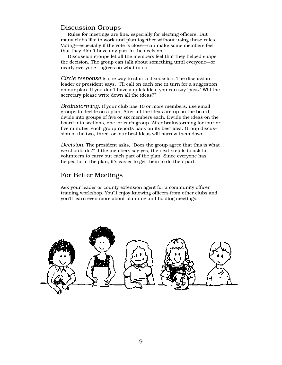## Discussion Groups

Rules for meetings are fine, especially for electing officers. But many clubs like to work and plan together without using these rules. Voting—especially if the vote is close—can make some members feel that they didn't have any part in the decision.

Discussion groups let all the members feel that they helped shape the decision. The group can talk about something until everyone—or nearly everyone—agrees on what to do.

*Circle response* is one way to start a discussion. The discussion leader or president says, "I'll call on each one in turn for a suggestion on our plan. If you don't have a quick idea, you can say 'pass.' Will the secretary please write down all the ideas?"

*Brainstorming.* If your club has 10 or more members, use small groups to decide on a plan. After all the ideas are up on the board, divide into groups of five or six members each. Divide the ideas on the board into sections, one for each group. After brainstorming for four or five minutes, each group reports back on its best idea. Group discussion of the two, three, or four best ideas will narrow them down.

*Decision.* The president asks, "Does the group agree that this is what we should do?" If the members say yes, the next step is to ask for volunteers to carry out each part of the plan. Since everyone has helped form the plan, it's easier to get them to do their part.

## For Better Meetings

Ask your leader or county extension agent for a community officer training workshop. You'll enjoy knowing officers from other clubs and you'll learn even more about planning and holding meetings.

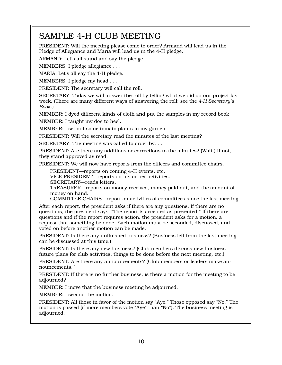## SAMPLE 4-H CLUB MEETING

PRESIDENT: Will the meeting please come to order? Armand will lead us in the Pledge of Allegiance and Maria will lead us in the 4-H pledge.

ARMAND: Let's all stand and say the pledge.

MEMBERS: I pledge allegiance . . .

MARIA: Let's all say the 4-H pledge.

MEMBERS: I pledge my head . . .

PRESIDENT: The secretary will call the roll.

SECRETARY: Today we will answer the roll by telling what we did on our project last week. (There are many different ways of answering the roll; see the *4-H Secretary's Book*.)

MEMBER: I dyed different kinds of cloth and put the samples in my record book.

MEMBER: I taught my dog to heel.

MEMBER: I set out some tomato plants in my garden.

PRESIDENT: Will the secretary read the minutes of the last meeting?

SECRETARY: The meeting was called to order by. . .

PRESIDENT: Are there any additions or corrections to the minutes? (Wait.) If not, they stand approved as read.

PRESIDENT: We will now have reports from the officers and committee chairs.

PRESIDENT—reports on coming 4-H events, etc.

VICE PRESIDENT—reports on his or her activities.

SECRETARY—reads letters.

TREASURER—reports on money received, money paid out, and the amount of money on hand.

COMMITTEE CHAIRS—report on activities of committees since the last meeting.

After each report, the president asks if there are any questions. If there are no questions, the president says, "The report is accepted as presented." If there are questions and if the report requires action, the president asks for a motion, a request that something be done. Each motion must be seconded, discussed, and voted on before another motion can be made.

PRESIDENT: Is there any unfinished business? (Business left from the last meeting can be discussed at this time.)

PRESIDENT: Is there any new business? (Club members discuss new business future plans for club activities, things to be done before the next meeting, etc.)

PRESIDENT: Are there any announcements? (Club members or leaders make announcements. )

PRESIDENT: If there is no further business, is there a motion for the meeting to be adjourned?

MEMBER: I move that the business meeting be adjourned.

MEMBER: I second the motion.

PRESIDENT: All those in favor of the motion say "Aye." Those opposed say "No." The motion is passed (if more members vote "Aye" than "No"). The business meeting is adjourned.